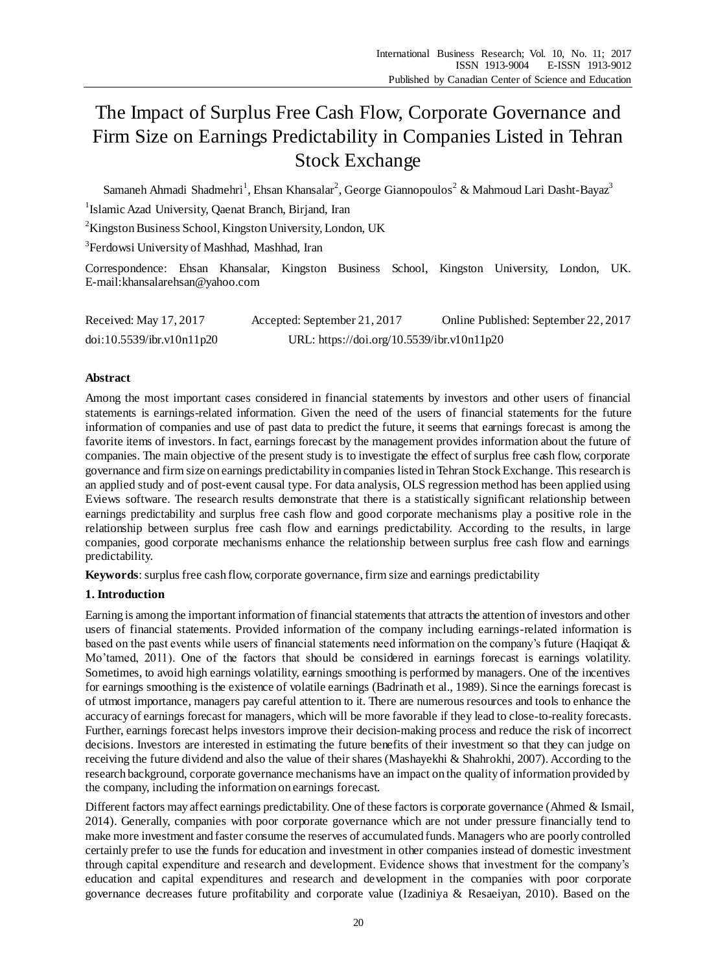# The Impact of Surplus Free Cash Flow, Corporate Governance and Firm Size on Earnings Predictability in Companies Listed in Tehran Stock Exchange

Samaneh Ahmadi Shadmehri<sup>1</sup>, Ehsan Khansalar<sup>2</sup>, George Giannopoulos<sup>2</sup> & Mahmoud Lari Dasht-Bayaz<sup>3</sup>

<sup>1</sup>Islamic Azad University, Qaenat Branch, Birjand, Iran

<sup>2</sup>Kingston Business School, Kingston University, London, UK

<sup>3</sup> Ferdowsi University of Mashhad, Mashhad, Iran

Correspondence: Ehsan Khansalar, Kingston Business School, Kingston University, London, UK. E-mail:khansalarehsan@yahoo.com

Received: May 17, 2017 Accepted: September 21, 2017 Online Published: September 22, 2017 doi:10.5539/ibr.v10n11p20 URL: https://doi.org/10.5539/ibr.v10n11p20

# **Abstract**

Among the most important cases considered in financial statements by investors and other users of financial statements is earnings-related information. Given the need of the users of financial statements for the future information of companies and use of past data to predict the future, it seems that earnings forecast is among the favorite items of investors. In fact, earnings forecast by the management provides information about the future of companies. The main objective of the present study is to investigate the effect of surplus free cash flow, corporate governance and firm size on earnings predictability in companies listed in Tehran Stock Exchange. This research is an applied study and of post-event causal type. For data analysis, OLS regression method has been applied using Eviews software. The research results demonstrate that there is a statistically significant relationship between earnings predictability and surplus free cash flow and good corporate mechanisms play a positive role in the relationship between surplus free cash flow and earnings predictability. According to the results, in large companies, good corporate mechanisms enhance the relationship between surplus free cash flow and earnings predictability.

**Keywords**: surplus free cash flow, corporate governance, firm size and earnings predictability

# **1. Introduction**

Earning is among the important information of financial statements that attracts the attention of investors and other users of financial statements. Provided information of the company including earnings-related information is based on the past events while users of financial statements need information on the company's future (Haqiqat & Mo'tamed, 2011). One of the factors that should be considered in earnings forecast is earnings volatility. Sometimes, to avoid high earnings volatility, earnings smoothing is performed by managers. One of the incentives for earnings smoothing is the existence of volatile earnings (Badrinath et al., 1989). Since the earnings forecast is of utmost importance, managers pay careful attention to it. There are numerous resources and tools to enhance the accuracy of earnings forecast for managers, which will be more favorable if they lead to close-to-reality forecasts. Further, earnings forecast helps investors improve their decision-making process and reduce the risk of incorrect decisions. Investors are interested in estimating the future benefits of their investment so that they can judge on receiving the future dividend and also the value of their shares (Mashayekhi & Shahrokhi, 2007). According to the research background, corporate governance mechanisms have an impact on the quality of information provided by the company, including the information on earnings forecast.

Different factors may affect earnings predictability. One of these factors is corporate governance (Ahmed & Ismail, 2014). Generally, companies with poor corporate governance which are not under pressure financially tend to make more investment and faster consume the reserves of accumulated funds. Managers who are poorly controlled certainly prefer to use the funds for education and investment in other companies instead of domestic investment through capital expenditure and research and development. Evidence shows that investment for the company's education and capital expenditures and research and development in the companies with poor corporate governance decreases future profitability and corporate value (Izadiniya & Resaeiyan, 2010). Based on the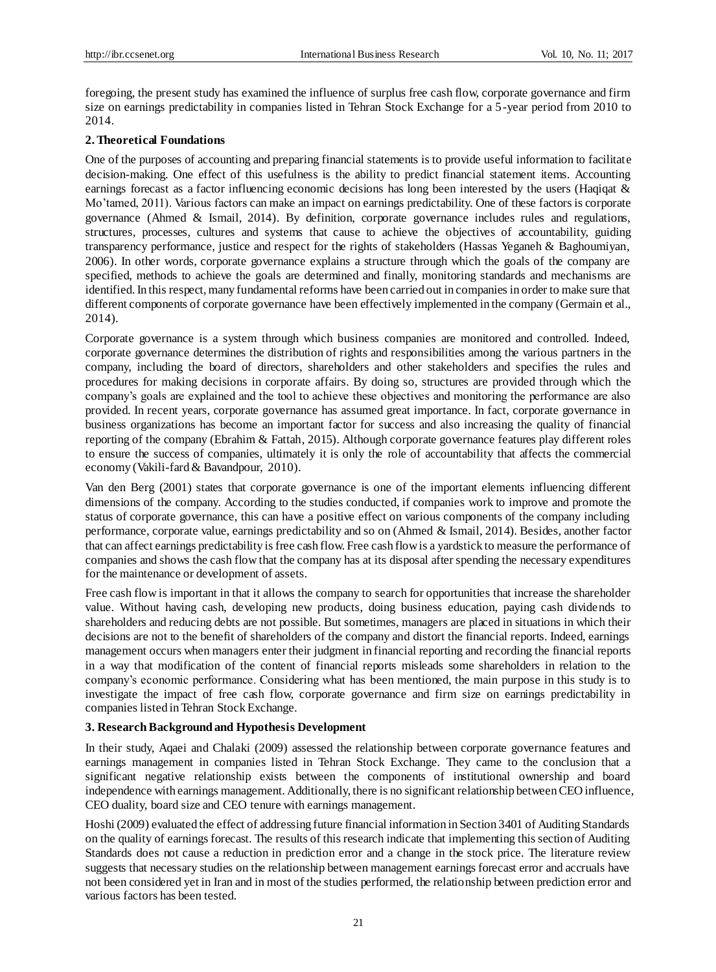foregoing, the present study has examined the influence of surplus free cash flow, corporate governance and firm size on earnings predictability in companies listed in Tehran Stock Exchange for a 5-year period from 2010 to 2014.

# **2. Theoretical Foundations**

One of the purposes of accounting and preparing financial statements is to provide useful information to facilitate decision-making. One effect of this usefulness is the ability to predict financial statement items. Accounting earnings forecast as a factor influencing economic decisions has long been interested by the users (Haqiqat & Mo'tamed, 2011). Various factors can make an impact on earnings predictability. One of these factors is corporate governance (Ahmed & Ismail, 2014). By definition, corporate governance includes rules and regulations, structures, processes, cultures and systems that cause to achieve the objectives of accountability, guiding transparency performance, justice and respect for the rights of stakeholders (Hassas Yeganeh & Baghoumiyan, 2006). In other words, corporate governance explains a structure through which the goals of the company are specified, methods to achieve the goals are determined and finally, monitoring standards and mechanisms are identified. In this respect, many fundamental reforms have been carried out in companies in order to make sure that different components of corporate governance have been effectively implemented in the company (Germain et al., 2014).

Corporate governance is a system through which business companies are monitored and controlled. Indeed, corporate governance determines the distribution of rights and responsibilities among the various partners in the company, including the board of directors, shareholders and other stakeholders and specifies the rules and procedures for making decisions in corporate affairs. By doing so, structures are provided through which the company's goals are explained and the tool to achieve these objectives and monitoring the performance are also provided. In recent years, corporate governance has assumed great importance. In fact, corporate governance in business organizations has become an important factor for success and also increasing the quality of financial reporting of the company (Ebrahim & Fattah, 2015). Although corporate governance features play different roles to ensure the success of companies, ultimately it is only the role of accountability that affects the commercial economy (Vakili-fard & Bavandpour, 2010).

Van den Berg (2001) states that corporate governance is one of the important elements influencing different dimensions of the company. According to the studies conducted, if companies work to improve and promote the status of corporate governance, this can have a positive effect on various components of the company including performance, corporate value, earnings predictability and so on (Ahmed & Ismail, 2014). Besides, another factor that can affect earnings predictability is free cash flow. Free cash flow is a yardstick to measure the performance of companies and shows the cash flow that the company has at its disposal after spending the necessary expenditures for the maintenance or development of assets.

Free cash flow is important in that it allows the company to search for opportunities that increase the shareholder value. Without having cash, developing new products, doing business education, paying cash dividends to shareholders and reducing debts are not possible. But sometimes, managers are placed in situations in which their decisions are not to the benefit of shareholders of the company and distort the financial reports. Indeed, earnings management occurs when managers enter their judgment in financial reporting and recording the financial reports in a way that modification of the content of financial reports misleads some shareholders in relation to the company's economic performance. Considering what has been mentioned, the main purpose in this study is to investigate the impact of free cash flow, corporate governance and firm size on earnings predictability in companies listed in Tehran Stock Exchange.

# **3. Research Background and Hypothesis Development**

In their study, Aqaei and Chalaki (2009) assessed the relationship between corporate governance features and earnings management in companies listed in Tehran Stock Exchange. They came to the conclusion that a significant negative relationship exists between the components of institutional ownership and board independence with earnings management. Additionally, there is no significant relationship between CEO influence, CEO duality, board size and CEO tenure with earnings management.

Hoshi (2009) evaluated the effect of addressing future financial information in Section 3401 of Auditing Standards on the quality of earnings forecast. The results of this research indicate that implementing this section of Auditing Standards does not cause a reduction in prediction error and a change in the stock price. The literature review suggests that necessary studies on the relationship between management earnings forecast error and accruals have not been considered yet in Iran and in most of the studies performed, the relationship between prediction error and various factors has been tested.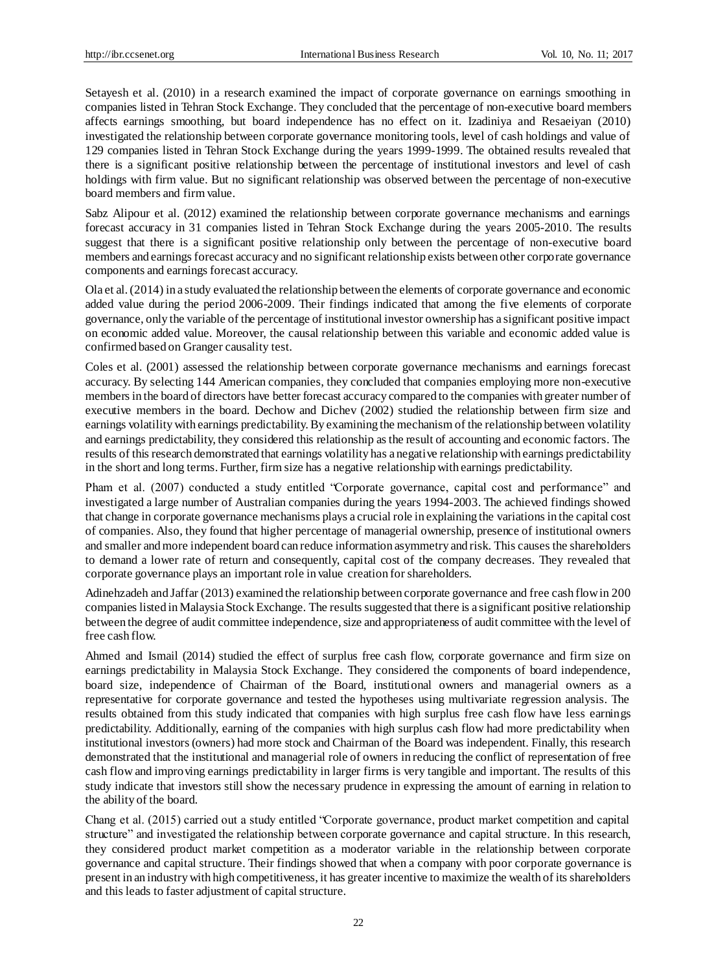Setayesh et al. (2010) in a research examined the impact of corporate governance on earnings smoothing in companies listed in Tehran Stock Exchange. They concluded that the percentage of non-executive board members affects earnings smoothing, but board independence has no effect on it. Izadiniya and Resaeiyan (2010) investigated the relationship between corporate governance monitoring tools, level of cash holdings and value of 129 companies listed in Tehran Stock Exchange during the years 1999-1999. The obtained results revealed that there is a significant positive relationship between the percentage of institutional investors and level of cash holdings with firm value. But no significant relationship was observed between the percentage of non-executive board members and firm value.

Sabz Alipour et al. (2012) examined the relationship between corporate governance mechanisms and earnings forecast accuracy in 31 companies listed in Tehran Stock Exchange during the years 2005-2010. The results suggest that there is a significant positive relationship only between the percentage of non-executive board members and earnings forecast accuracy and no significant relationship exists between other corporate governance components and earnings forecast accuracy.

Ola et al. (2014) in a study evaluated the relationship between the elements of corporate governance and economic added value during the period 2006-2009. Their findings indicated that among the five elements of corporate governance, only the variable of the percentage of institutional investor ownership has a significant positive impact on economic added value. Moreover, the causal relationship between this variable and economic added value is confirmed based on Granger causality test.

Coles et al. (2001) assessed the relationship between corporate governance mechanisms and earnings forecast accuracy. By selecting 144 American companies, they concluded that companies employing more non-executive members in the board of directors have better forecast accuracy compared to the companies with greater number of executive members in the board. Dechow and Dichev (2002) studied the relationship between firm size and earnings volatility with earnings predictability. By examining the mechanism of the relationship between volatility and earnings predictability, they considered this relationship as the result of accounting and economic factors. The results of this research demonstrated that earnings volatility has a negative relationship with earnings predictability in the short and long terms. Further, firm size has a negative relationship with earnings predictability.

Pham et al. (2007) conducted a study entitled "Corporate governance, capital cost and performance" and investigated a large number of Australian companies during the years 1994-2003. The achieved findings showed that change in corporate governance mechanisms plays a crucial role in explaining the variations in the capital cost of companies. Also, they found that higher percentage of managerial ownership, presence of institutional owners and smaller and more independent board can reduce information asymmetry and risk. This causes the shareholders to demand a lower rate of return and consequently, capital cost of the company decreases. They revealed that corporate governance plays an important role in value creation for shareholders.

Adinehzadeh and Jaffar (2013) examined the relationship between corporate governance and free cash flow in 200 companies listed in Malaysia Stock Exchange. The results suggested that there is a significant positive relationship between the degree of audit committee independence, size and appropriateness of audit committee with the level of free cash flow.

Ahmed and Ismail (2014) studied the effect of surplus free cash flow, corporate governance and firm size on earnings predictability in Malaysia Stock Exchange. They considered the components of board independence, board size, independence of Chairman of the Board, institutional owners and managerial owners as a representative for corporate governance and tested the hypotheses using multivariate regression analysis. The results obtained from this study indicated that companies with high surplus free cash flow have less earnings predictability. Additionally, earning of the companies with high surplus cash flow had more predictability when institutional investors (owners) had more stock and Chairman of the Board was independent. Finally, this research demonstrated that the institutional and managerial role of owners in reducing the conflict of representation of free cash flow and improving earnings predictability in larger firms is very tangible and important. The results of this study indicate that investors still show the necessary prudence in expressing the amount of earning in relation to the ability of the board.

Chang et al. (2015) carried out a study entitled "Corporate governance, product market competition and capital structure" and investigated the relationship between corporate governance and capital structure. In this research, they considered product market competition as a moderator variable in the relationship between corporate governance and capital structure. Their findings showed that when a company with poor corporate governance is present in an industry with high competitiveness, it has greater incentive to maximize the wealth of its shareholders and this leads to faster adjustment of capital structure.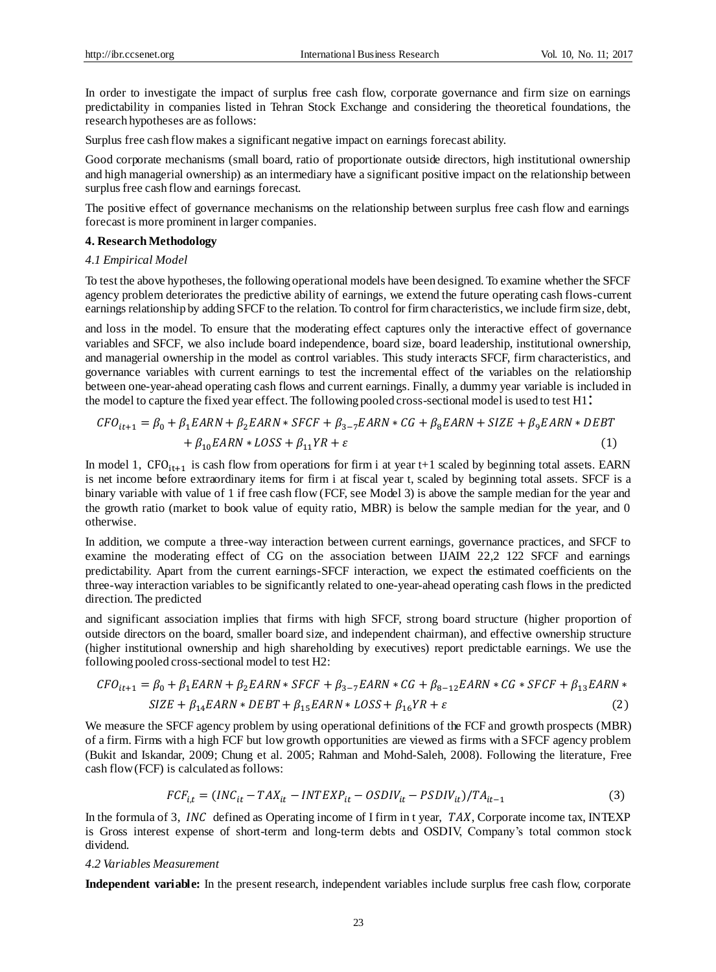In order to investigate the impact of surplus free cash flow, corporate governance and firm size on earnings predictability in companies listed in Tehran Stock Exchange and considering the theoretical foundations, the research hypotheses are as follows:

Surplus free cash flow makes a significant negative impact on earnings forecast ability.

Good corporate mechanisms (small board, ratio of proportionate outside directors, high institutional ownership and high managerial ownership) as an intermediary have a significant positive impact on the relationship between surplus free cash flow and earnings forecast.

The positive effect of governance mechanisms on the relationship between surplus free cash flow and earnings forecast is more prominent in larger companies.

### **4. Research Methodology**

## *4.1 Empirical Model*

To test the above hypotheses, the following operational models have been designed. To examine whether the SFCF agency problem deteriorates the predictive ability of earnings, we extend the future operating cash flows-current earnings relationship by adding SFCF to the relation. To control for firm characteristics, we include firm size, debt,

and loss in the model. To ensure that the moderating effect captures only the interactive effect of governance variables and SFCF, we also include board independence, board size, board leadership, institutional ownership, and managerial ownership in the model as control variables. This study interacts SFCF, firm characteristics, and governance variables with current earnings to test the incremental effect of the variables on the relationship between one-year-ahead operating cash flows and current earnings. Finally, a dummy year variable is included in the model to capture the fixed year effect. The following pooled cross-sectional model is used to test H1:

$$
CFO_{it+1} = \beta_0 + \beta_1 EARN + \beta_2 EARN * SFCF + \beta_{3-7} EARN * CG + \beta_8 EARN + SIZE + \beta_9 EARN * DEBT
$$
  
+  $\beta_{10} EARN * LOSS + \beta_{11} YR + \varepsilon$  (1)

In model 1, CFO<sub>it+1</sub> is cash flow from operations for firm i at year t+1 scaled by beginning total assets. EARN is net income before extraordinary items for firm i at fiscal year t, scaled by beginning total assets. SFCF is a binary variable with value of 1 if free cash flow (FCF, see Model 3) is above the sample median for the year and the growth ratio (market to book value of equity ratio, MBR) is below the sample median for the year, and 0 otherwise.

In addition, we compute a three-way interaction between current earnings, governance practices, and SFCF to examine the moderating effect of CG on the association between IJAIM 22,2 122 SFCF and earnings predictability. Apart from the current earnings-SFCF interaction, we expect the estimated coefficients on the three-way interaction variables to be significantly related to one-year-ahead operating cash flows in the predicted direction. The predicted

and significant association implies that firms with high SFCF, strong board structure (higher proportion of outside directors on the board, smaller board size, and independent chairman), and effective ownership structure (higher institutional ownership and high shareholding by executives) report predictable earnings. We use the following pooled cross-sectional model to test H2:

$$
CFO_{it+1} = \beta_0 + \beta_1 EARN + \beta_2 EARN * SFCF + \beta_{3-7} EARN * CG + \beta_{8-12} EARN * CG * SFCF + \beta_{13} EARN *
$$
  
\n
$$
SIZE + \beta_{14} EARN * DEBT + \beta_{15} EARN * LOSS + \beta_{16} YR + \varepsilon
$$
\n(2)

We measure the SFCF agency problem by using operational definitions of the FCF and growth prospects (MBR) of a firm. Firms with a high FCF but low growth opportunities are viewed as firms with a SFCF agency problem (Bukit and Iskandar, 2009; Chung et al. 2005; Rahman and Mohd-Saleh, 2008). Following the literature, Free cash flow (FCF) is calculated as follows:

$$
FCF_{i,t} = (INC_{it} - TAX_{it} - INTEXP_{it} - OSDIV_{it} - PSDIV_{it})/TA_{it-1}
$$
\n(3)

In the formula of 3, *INC* defined as Operating income of I firm in t year,  $TAX$ , Corporate income tax, INTEXP is Gross interest expense of short-term and long-term debts and OSDIV, Company's total common stock dividend.

### *4.2 Variables Measurement*

**Independent variable:** In the present research, independent variables include surplus free cash flow, corporate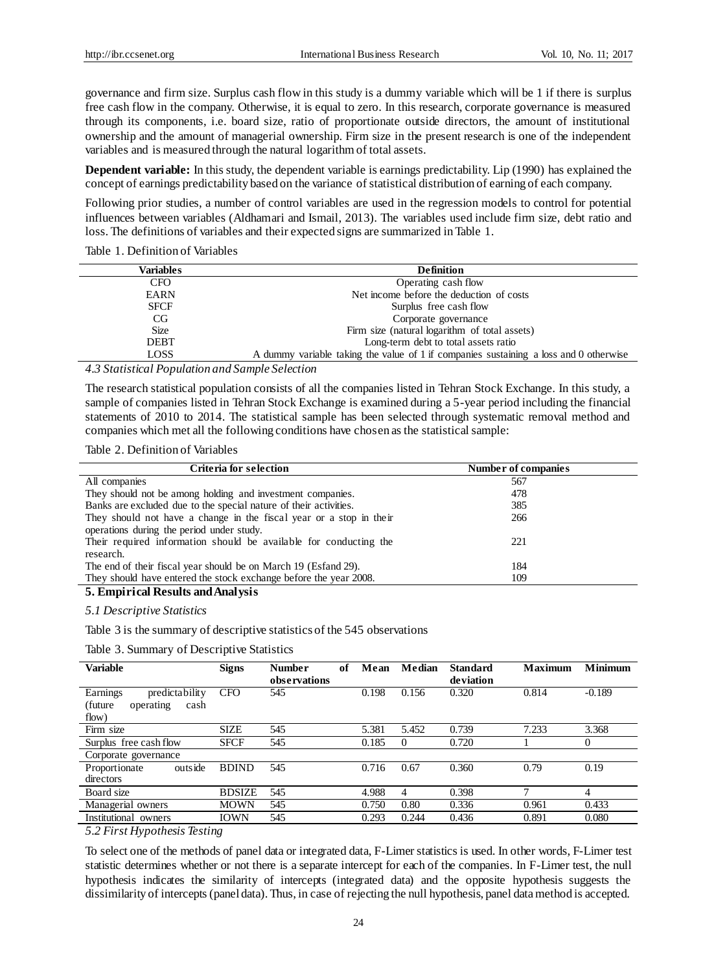governance and firm size. Surplus cash flow in this study is a dummy variable which will be 1 if there is surplus free cash flow in the company. Otherwise, it is equal to zero. In this research, corporate governance is measured through its components, i.e. board size, ratio of proportionate outside directors, the amount of institutional ownership and the amount of managerial ownership. Firm size in the present research is one of the independent variables and is measured through the natural logarithm of total assets.

**Dependent variable:** In this study, the dependent variable is earnings predictability. Lip (1990) has explained the concept of earnings predictability based on the variance of statistical distribution of earning of each company.

Following prior studies, a number of control variables are used in the regression models to control for potential influences between variables (Aldhamari and Ismail, 2013). The variables used include firm size, debt ratio and loss. The definitions of variables and their expected signs are summarized in Table 1.

Table 1. Definition of Variables

| Variables   | <b>Definition</b>                                                                     |
|-------------|---------------------------------------------------------------------------------------|
| <b>CFO</b>  | Operating cash flow                                                                   |
| <b>EARN</b> | Net income before the deduction of costs                                              |
| <b>SFCF</b> | Surplus free cash flow                                                                |
| CG.         | Corporate governance                                                                  |
| <b>Size</b> | Firm size (natural logarithm of total assets)                                         |
| <b>DEBT</b> | Long-term debt to total assets ratio                                                  |
| LOSS        | A dummy variable taking the value of 1 if companies sustaining a loss and 0 otherwise |

*4.3 Statistical Population and Sample Selection*

The research statistical population consists of all the companies listed in Tehran Stock Exchange. In this study, a sample of companies listed in Tehran Stock Exchange is examined during a 5-year period including the financial statements of 2010 to 2014. The statistical sample has been selected through systematic removal method and companies which met all the following conditions have chosen as the statistical sample:

### Table 2. Definition of Variables

| Criteria for selection                                              | Number of companies |  |
|---------------------------------------------------------------------|---------------------|--|
| All companies                                                       | 567                 |  |
| They should not be among holding and investment companies.          | 478                 |  |
| Banks are excluded due to the special nature of their activities.   | 385                 |  |
| They should not have a change in the fiscal year or a stop in their | 266                 |  |
| operations during the period under study.                           |                     |  |
| Their required information should be available for conducting the   | 221                 |  |
| research.                                                           |                     |  |
| The end of their fiscal year should be on March 19 (Esfand 29).     | 184                 |  |
| They should have entered the stock exchange before the year 2008.   | 109                 |  |
| $\epsilon$ p $\epsilon$ in $\mu$ is $\epsilon$                      |                     |  |

# **5. Empirical Results and Analysis**

*5.1 Descriptive Statistics*

Table 3 is the summary of descriptive statistics of the 545 observations

Table 3. Summary of Descriptive Statistics

| Variable                                                            | <b>Signs</b>  | <b>Number</b><br>observations | of | Mean  | Median | <b>Standard</b><br>deviation | <b>Maximum</b> | <b>Minimum</b> |
|---------------------------------------------------------------------|---------------|-------------------------------|----|-------|--------|------------------------------|----------------|----------------|
| Earnings<br>predictability<br>(future<br>cash<br>operating<br>flow) | <b>CFO</b>    | 545                           |    | 0.198 | 0.156  | 0.320                        | 0.814          | $-0.189$       |
| Firm size                                                           | <b>SIZE</b>   | 545                           |    | 5.381 | 5.452  | 0.739                        | 7.233          | 3.368          |
| Surplus free cash flow                                              | <b>SFCF</b>   | 545                           |    | 0.185 | 0      | 0.720                        |                | 0              |
| Corporate governance                                                |               |                               |    |       |        |                              |                |                |
| outside<br>Proportionate<br>directors                               | <b>BDIND</b>  | 545                           |    | 0.716 | 0.67   | 0.360                        | 0.79           | 0.19           |
| Board size                                                          | <b>BDSIZE</b> | 545                           |    | 4.988 | 4      | 0.398                        | π              | 4              |
| Managerial owners                                                   | MOWN          | 545                           |    | 0.750 | 0.80   | 0.336                        | 0.961          | 0.433          |
| Institutional<br>owners                                             | IOWN          | 545                           |    | 0.293 | 0.244  | 0.436                        | 0.891          | 0.080          |

*5.2 First Hypothesis Testing*

To select one of the methods of panel data or integrated data, F-Limer statistics is used. In other words, F-Limer test statistic determines whether or not there is a separate intercept for each of the companies. In F-Limer test, the null hypothesis indicates the similarity of intercepts (integrated data) and the opposite hypothesis suggests the dissimilarity of intercepts (panel data). Thus, in case of rejecting the null hypothesis, panel data method is accepted.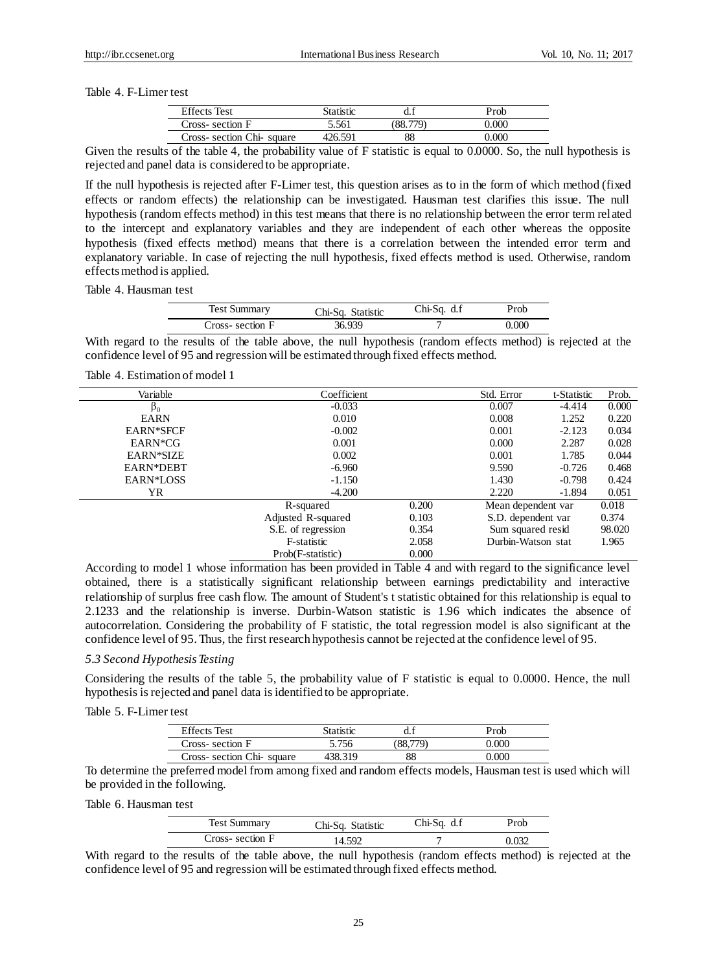Table 4. F-Limer test

| <b>Effects</b> Test      | Statistic |    | Prob             |
|--------------------------|-----------|----|------------------|
| Cross-section F          | 5.561     |    | 2.000            |
| Cross-section Chi-square | 426.591   | 88 | 000 <sub>0</sub> |

Given the results of the table 4, the probability value of F statistic is equal to 0.0000. So, the null hypothesis is rejected and panel data is considered to be appropriate.

If the null hypothesis is rejected after F-Limer test, this question arises as to in the form of which method (fixed effects or random effects) the relationship can be investigated. Hausman test clarifies this issue. The null hypothesis (random effects method) in this test means that there is no relationship between the error term related to the intercept and explanatory variables and they are independent of each other whereas the opposite hypothesis (fixed effects method) means that there is a correlation between the intended error term and explanatory variable. In case of rejecting the null hypothesis, fixed effects method is used. Otherwise, random effects method is applied.

Table 4. Hausman test

| <b>Test Summary</b> | Chi-Sq. Statistic | $Chi-Sq. d.f$ | $P_{\rm rob}$ |
|---------------------|-------------------|---------------|---------------|
| Cross-section F     | 36.939            |               | 0.000         |

With regard to the results of the table above, the null hypothesis (random effects method) is rejected at the confidence level of 95 and regression will be estimated through fixed effects method.

## Table 4. Estimation of model 1

| Variable         | Coefficient        |       | Std. Error         | t-Statistic | Prob.  |
|------------------|--------------------|-------|--------------------|-------------|--------|
| $\beta_0$        | $-0.033$           |       | 0.007              | $-4.414$    | 0.000  |
| <b>EARN</b>      | 0.010              |       | 0.008              | 1.252       | 0.220  |
| <b>EARN*SFCF</b> | $-0.002$           |       | 0.001              | $-2.123$    | 0.034  |
| EARN*CG          | 0.001              |       | 0.000              | 2.287       | 0.028  |
| EARN*SIZE        | 0.002              |       | 0.001              | 1.785       | 0.044  |
| EARN*DEBT        | $-6.960$           |       | 9.590              | $-0.726$    | 0.468  |
| EARN*LOSS        | $-1.150$           |       | 1.430              | $-0.798$    | 0.424  |
| YR               | $-4.200$           |       | 2.220              | $-1.894$    | 0.051  |
|                  | R-squared          | 0.200 | Mean dependent var |             | 0.018  |
|                  | Adjusted R-squared | 0.103 | S.D. dependent var |             | 0.374  |
|                  | S.E. of regression | 0.354 | Sum squared resid  |             | 98.020 |
|                  | F-statistic        | 2.058 | Durbin-Watson stat |             | 1.965  |
|                  | Prob(F-statistic)  | 0.000 |                    |             |        |

According to model 1 whose information has been provided in Table 4 and with regard to the significance level obtained, there is a statistically significant relationship between earnings predictability and interactive relationship of surplus free cash flow. The amount of Student's t statistic obtained for this relationship is equal to 2.1233 and the relationship is inverse. Durbin-Watson statistic is 1.96 which indicates the absence of autocorrelation. Considering the probability of F statistic, the total regression model is also significant at the confidence level of 95. Thus, the first research hypothesis cannot be rejected at the confidence level of 95.

# *5.3 Second Hypothesis Testing*

Considering the results of the table 5, the probability value of F statistic is equal to 0.0000. Hence, the null hypothesis is rejected and panel data is identified to be appropriate.

Table 5. F-Limer test

| <b>Effects</b> Test      | Statistic |    | Prob  |
|--------------------------|-----------|----|-------|
| Cross-section F          | 5.756     |    |       |
| Cross-section Chi-square | 138 319   | 88 | ) 000 |
|                          |           |    |       |

To determine the preferred model from among fixed and random effects models, Hausman test is used which will be provided in the following.

Table 6. Hausman test

| <b>Test Summary</b> | Chi-Sq. Statistic | $Chi-Sq. d.f$ | Prob  |
|---------------------|-------------------|---------------|-------|
| Cross-section F     | 14.592            |               | 032 ا |

With regard to the results of the table above, the null hypothesis (random effects method) is rejected at the confidence level of 95 and regression will be estimated through fixed effects method.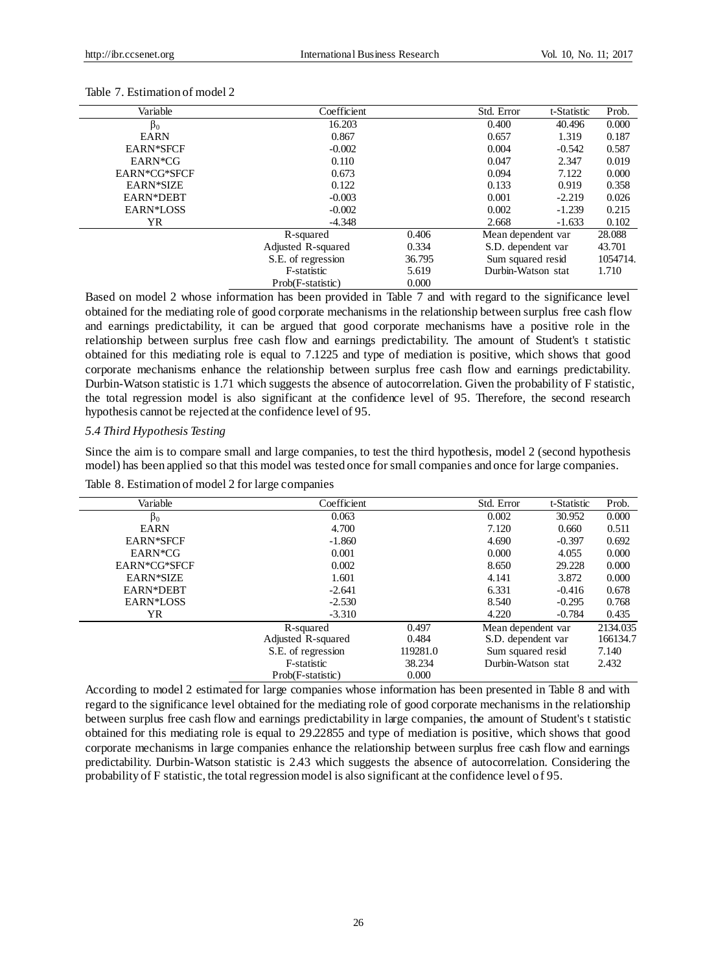| Variable         | Coefficient        |        | Std. Error         | t-Statistic | Prob.    |
|------------------|--------------------|--------|--------------------|-------------|----------|
| $\beta_0$        | 16.203             |        | 0.400              | 40.496      | 0.000    |
| <b>EARN</b>      | 0.867              |        | 0.657              | 1.319       | 0.187    |
| <b>EARN*SFCF</b> | $-0.002$           |        | 0.004              | $-0.542$    | 0.587    |
| EARN*CG          | 0.110              |        | 0.047              | 2.347       | 0.019    |
| EARN*CG*SFCF     | 0.673              |        | 0.094              | 7.122       | 0.000    |
| EARN*SIZE        | 0.122              |        | 0.133              | 0.919       | 0.358    |
| EARN*DEBT        | $-0.003$           |        | 0.001              | $-2.219$    | 0.026    |
| EARN*LOSS        | $-0.002$           |        | 0.002              | $-1.239$    | 0.215    |
| YR.              | $-4.348$           |        | 2.668              | $-1.633$    | 0.102    |
|                  | R-squared          | 0.406  | Mean dependent var |             | 28.088   |
|                  | Adjusted R-squared | 0.334  | S.D. dependent var |             | 43.701   |
|                  | S.E. of regression | 36.795 | Sum squared resid  |             | 1054714. |
|                  | F-statistic        | 5.619  | Durbin-Watson stat |             | 1.710    |
|                  | Prob(F-statistic)  | 0.000  |                    |             |          |

#### Table 7. Estimation of model 2

Based on model 2 whose information has been provided in Table 7 and with regard to the significance level obtained for the mediating role of good corporate mechanisms in the relationship between surplus free cash flow and earnings predictability, it can be argued that good corporate mechanisms have a positive role in the relationship between surplus free cash flow and earnings predictability. The amount of Student's t statistic obtained for this mediating role is equal to 7.1225 and type of mediation is positive, which shows that good corporate mechanisms enhance the relationship between surplus free cash flow and earnings predictability. Durbin-Watson statistic is 1.71 which suggests the absence of autocorrelation. Given the probability of F statistic, the total regression model is also significant at the confidence level of 95. Therefore, the second research hypothesis cannot be rejected at the confidence level of 95.

### *5.4 Third Hypothesis Testing*

Since the aim is to compare small and large companies, to test the third hypothesis, model 2 (second hypothesis model) has been applied so that this model was tested once for small companies and once for large companies.

| Variable         | Coefficient        |          | Std. Error         | t-Statistic | Prob.    |
|------------------|--------------------|----------|--------------------|-------------|----------|
| $\beta_0$        | 0.063              |          | 0.002              | 30.952      | 0.000    |
| <b>EARN</b>      | 4.700              |          | 7.120              | 0.660       | 0.511    |
| <b>EARN*SFCF</b> | $-1.860$           |          | 4.690              | $-0.397$    | 0.692    |
| EARN*CG          | 0.001              |          | 0.000              | 4.055       | 0.000    |
| EARN*CG*SFCF     | 0.002              |          | 8.650              | 29.228      | 0.000    |
| EARN*SIZE        | 1.601              |          | 4.141              | 3.872       | 0.000    |
| EARN*DEBT        | $-2.641$           |          | 6.331              | $-0.416$    | 0.678    |
| EARN*LOSS        | $-2.530$           |          | 8.540              | $-0.295$    | 0.768    |
| YR.              | $-3.310$           |          | 4.220              | $-0.784$    | 0.435    |
|                  | R-squared          | 0.497    | Mean dependent var |             | 2134.035 |
|                  | Adjusted R-squared | 0.484    | S.D. dependent var |             | 166134.7 |
|                  | S.E. of regression | 119281.0 | Sum squared resid  |             | 7.140    |
|                  | F-statistic        | 38.234   | Durbin-Watson stat |             | 2.432    |
|                  | Prob(F-statistic)  | 0.000    |                    |             |          |

Table 8. Estimation of model 2 for large companies

According to model 2 estimated for large companies whose information has been presented in Table 8 and with regard to the significance level obtained for the mediating role of good corporate mechanisms in the relationship between surplus free cash flow and earnings predictability in large companies, the amount of Student's t statistic obtained for this mediating role is equal to 29.22855 and type of mediation is positive, which shows that good corporate mechanisms in large companies enhance the relationship between surplus free cash flow and earnings predictability. Durbin-Watson statistic is 2.43 which suggests the absence of autocorrelation. Considering the probability of F statistic, the total regression model is also significant at the confidence level of 95.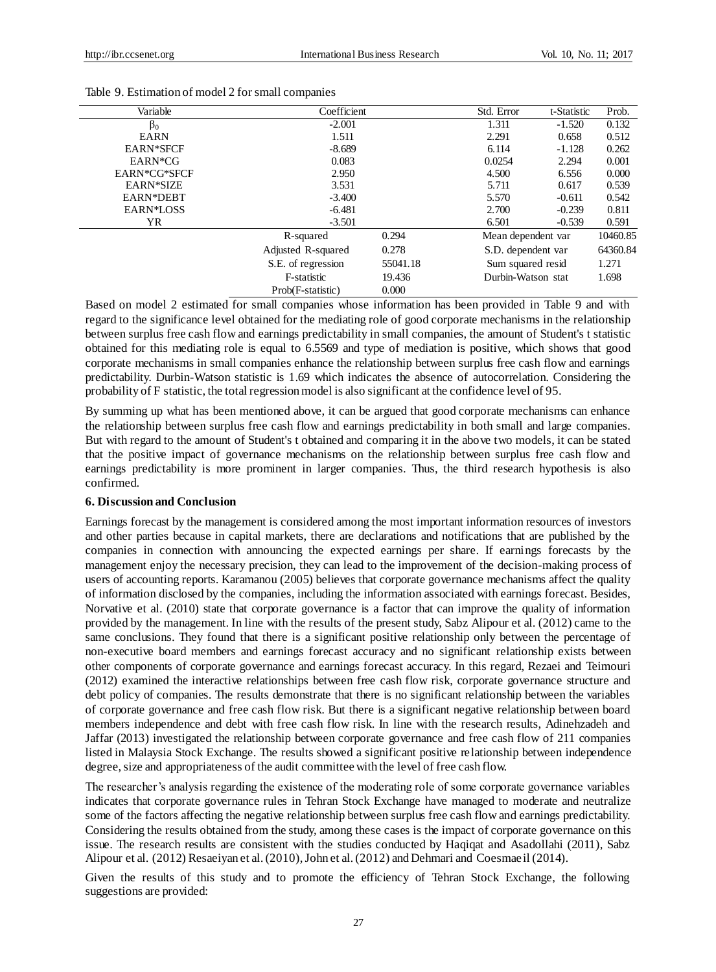| Variable         | Coefficient        |          | Std. Error         | t-Statistic | Prob.    |
|------------------|--------------------|----------|--------------------|-------------|----------|
| $\beta_0$        | $-2.001$           |          | 1.311              | $-1.520$    | 0.132    |
| <b>EARN</b>      | 1.511              |          | 2.291              | 0.658       | 0.512    |
| <b>EARN*SFCF</b> | $-8.689$           |          | 6.114              | $-1.128$    | 0.262    |
| EARN*CG          | 0.083              |          | 0.0254             | 2.294       | 0.001    |
| EARN*CG*SFCF     | 2.950              |          | 4.500              | 6.556       | 0.000    |
| EARN*SIZE        | 3.531              |          | 5.711              | 0.617       | 0.539    |
| EARN*DEBT        | $-3.400$           |          | 5.570              | $-0.611$    | 0.542    |
| EARN*LOSS        | $-6.481$           |          | 2.700              | $-0.239$    | 0.811    |
| YR.              | $-3.501$           |          | 6.501              | $-0.539$    | 0.591    |
|                  | R-squared          | 0.294    | Mean dependent var |             | 10460.85 |
|                  | Adjusted R-squared | 0.278    | S.D. dependent var |             | 64360.84 |
|                  | S.E. of regression | 55041.18 | Sum squared resid  |             | 1.271    |
|                  | F-statistic        | 19.436   | Durbin-Watson stat |             | 1.698    |
|                  | Prob(F-statistic)  | 0.000    |                    |             |          |

### Table 9. Estimation of model 2 for small companies

Based on model 2 estimated for small companies whose information has been provided in Table 9 and with regard to the significance level obtained for the mediating role of good corporate mechanisms in the relationship between surplus free cash flow and earnings predictability in small companies, the amount of Student's t statistic obtained for this mediating role is equal to 6.5569 and type of mediation is positive, which shows that good corporate mechanisms in small companies enhance the relationship between surplus free cash flow and earnings predictability. Durbin-Watson statistic is 1.69 which indicates the absence of autocorrelation. Considering the probability of F statistic, the total regression model is also significant at the confidence level of 95.

By summing up what has been mentioned above, it can be argued that good corporate mechanisms can enhance the relationship between surplus free cash flow and earnings predictability in both small and large companies. But with regard to the amount of Student's t obtained and comparing it in the above two models, it can be stated that the positive impact of governance mechanisms on the relationship between surplus free cash flow and earnings predictability is more prominent in larger companies. Thus, the third research hypothesis is also confirmed.

### **6. Discussion and Conclusion**

Earnings forecast by the management is considered among the most important information resources of investors and other parties because in capital markets, there are declarations and notifications that are published by the companies in connection with announcing the expected earnings per share. If earnings forecasts by the management enjoy the necessary precision, they can lead to the improvement of the decision-making process of users of accounting reports. Karamanou (2005) believes that corporate governance mechanisms affect the quality of information disclosed by the companies, including the information associated with earnings forecast. Besides, Norvative et al. (2010) state that corporate governance is a factor that can improve the quality of information provided by the management. In line with the results of the present study, Sabz Alipour et al. (2012) came to the same conclusions. They found that there is a significant positive relationship only between the percentage of non-executive board members and earnings forecast accuracy and no significant relationship exists between other components of corporate governance and earnings forecast accuracy. In this regard, Rezaei and Teimouri (2012) examined the interactive relationships between free cash flow risk, corporate governance structure and debt policy of companies. The results demonstrate that there is no significant relationship between the variables of corporate governance and free cash flow risk. But there is a significant negative relationship between board members independence and debt with free cash flow risk. In line with the research results, Adinehzadeh and Jaffar (2013) investigated the relationship between corporate governance and free cash flow of 211 companies listed in Malaysia Stock Exchange. The results showed a significant positive relationship between independence degree, size and appropriateness of the audit committee with the level of free cash flow.

The researcher's analysis regarding the existence of the moderating role of some corporate governance variables indicates that corporate governance rules in Tehran Stock Exchange have managed to moderate and neutralize some of the factors affecting the negative relationship between surplus free cash flow and earnings predictability. Considering the results obtained from the study, among these cases is the impact of corporate governance on this issue. The research results are consistent with the studies conducted by Haqiqat and Asadollahi (2011), Sabz Alipour et al. (2012) Resaeiyan et al. (2010), John et al. (2012) and Dehmari and Coesmaeil (2014).

Given the results of this study and to promote the efficiency of Tehran Stock Exchange, the following suggestions are provided: